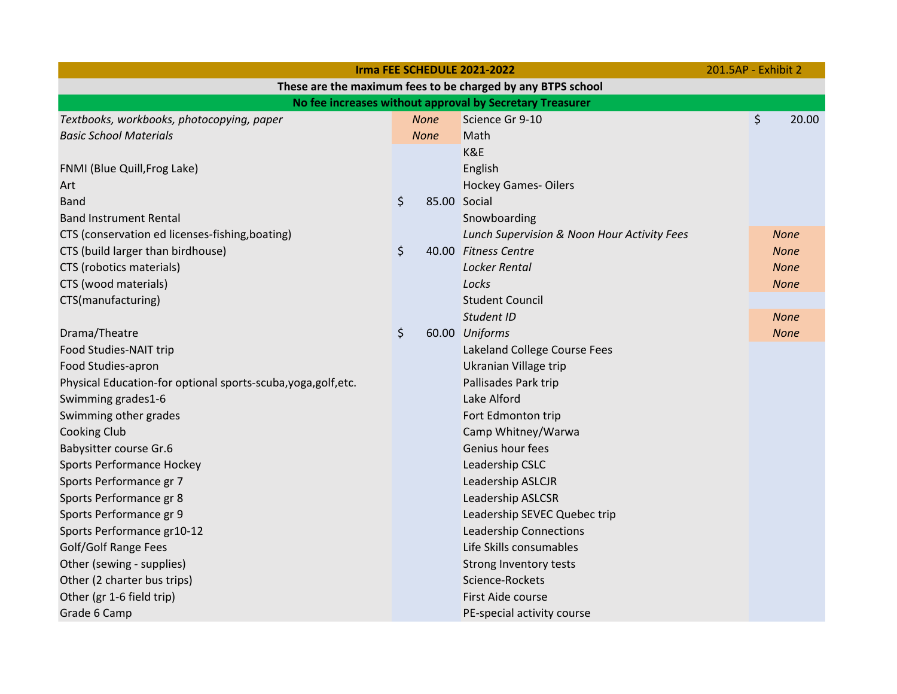|                                                                | Irma FEE SCHEDULE 2021-2022 | 201.5AP - Exhibit 2 |                                             |  |             |  |  |  |  |  |
|----------------------------------------------------------------|-----------------------------|---------------------|---------------------------------------------|--|-------------|--|--|--|--|--|
| These are the maximum fees to be charged by any BTPS school    |                             |                     |                                             |  |             |  |  |  |  |  |
| No fee increases without approval by Secretary Treasurer       |                             |                     |                                             |  |             |  |  |  |  |  |
| Textbooks, workbooks, photocopying, paper                      | <b>None</b>                 |                     | Science Gr 9-10                             |  | \$<br>20.00 |  |  |  |  |  |
| <b>Basic School Materials</b>                                  | <b>None</b>                 |                     | Math                                        |  |             |  |  |  |  |  |
|                                                                |                             |                     | K&E                                         |  |             |  |  |  |  |  |
| FNMI (Blue Quill, Frog Lake)                                   |                             |                     | English                                     |  |             |  |  |  |  |  |
| Art                                                            |                             |                     | <b>Hockey Games-Oilers</b>                  |  |             |  |  |  |  |  |
| <b>Band</b>                                                    | \$                          | 85.00 Social        |                                             |  |             |  |  |  |  |  |
| <b>Band Instrument Rental</b>                                  |                             |                     | Snowboarding                                |  |             |  |  |  |  |  |
| CTS (conservation ed licenses-fishing, boating)                |                             |                     | Lunch Supervision & Noon Hour Activity Fees |  | <b>None</b> |  |  |  |  |  |
| CTS (build larger than birdhouse)                              | \$                          |                     | 40.00 Fitness Centre                        |  | <b>None</b> |  |  |  |  |  |
| CTS (robotics materials)                                       |                             |                     | Locker Rental                               |  | <b>None</b> |  |  |  |  |  |
| CTS (wood materials)                                           |                             |                     | Locks                                       |  | <b>None</b> |  |  |  |  |  |
| CTS(manufacturing)                                             |                             |                     | <b>Student Council</b>                      |  |             |  |  |  |  |  |
|                                                                |                             |                     | Student ID                                  |  | <b>None</b> |  |  |  |  |  |
| Drama/Theatre                                                  | \$                          |                     | 60.00 Uniforms                              |  | <b>None</b> |  |  |  |  |  |
| Food Studies-NAIT trip                                         |                             |                     | Lakeland College Course Fees                |  |             |  |  |  |  |  |
| Food Studies-apron                                             |                             |                     | Ukranian Village trip                       |  |             |  |  |  |  |  |
| Physical Education-for optional sports-scuba, yoga, golf, etc. |                             |                     | Pallisades Park trip                        |  |             |  |  |  |  |  |
| Swimming grades1-6                                             |                             |                     | Lake Alford                                 |  |             |  |  |  |  |  |
| Swimming other grades                                          |                             |                     | Fort Edmonton trip                          |  |             |  |  |  |  |  |
| <b>Cooking Club</b>                                            |                             |                     | Camp Whitney/Warwa                          |  |             |  |  |  |  |  |
| Babysitter course Gr.6                                         |                             |                     | Genius hour fees                            |  |             |  |  |  |  |  |
| <b>Sports Performance Hockey</b>                               |                             |                     | Leadership CSLC                             |  |             |  |  |  |  |  |
| Sports Performance gr 7                                        |                             |                     | Leadership ASLCJR                           |  |             |  |  |  |  |  |
| Sports Performance gr 8                                        |                             |                     | Leadership ASLCSR                           |  |             |  |  |  |  |  |
| Sports Performance gr 9                                        |                             |                     | Leadership SEVEC Quebec trip                |  |             |  |  |  |  |  |
| Sports Performance gr10-12                                     |                             |                     | <b>Leadership Connections</b>               |  |             |  |  |  |  |  |
| Golf/Golf Range Fees                                           |                             |                     | Life Skills consumables                     |  |             |  |  |  |  |  |
| Other (sewing - supplies)                                      |                             |                     | Strong Inventory tests                      |  |             |  |  |  |  |  |
| Other (2 charter bus trips)                                    |                             |                     | Science-Rockets                             |  |             |  |  |  |  |  |
| Other (gr 1-6 field trip)                                      |                             |                     | First Aide course                           |  |             |  |  |  |  |  |
| Grade 6 Camp                                                   |                             |                     | PE-special activity course                  |  |             |  |  |  |  |  |